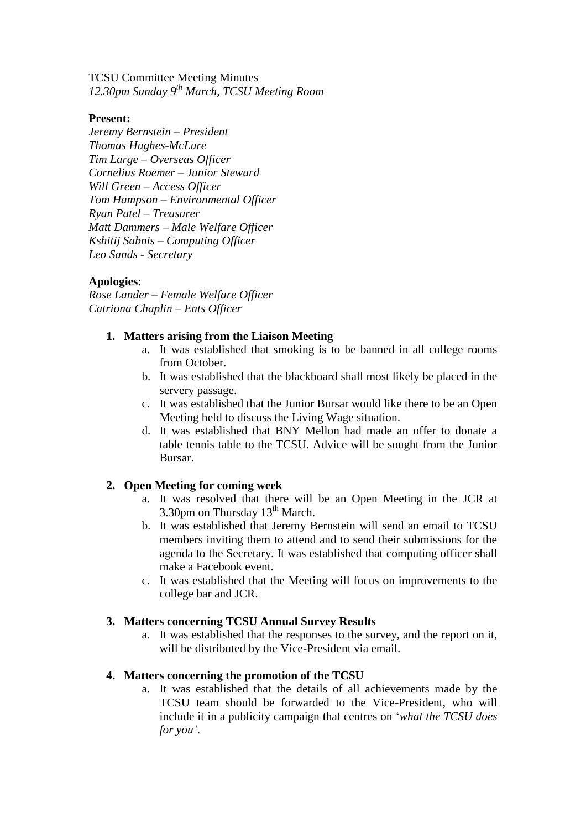TCSU Committee Meeting Minutes *12.30pm Sunday 9th March, TCSU Meeting Room*

#### **Present:**

*Jeremy Bernstein – President Thomas Hughes-McLure Tim Large – Overseas Officer Cornelius Roemer – Junior Steward Will Green – Access Officer Tom Hampson – Environmental Officer Ryan Patel – Treasurer Matt Dammers – Male Welfare Officer Kshitij Sabnis – Computing Officer Leo Sands - Secretary*

# **Apologies**:

*Rose Lander – Female Welfare Officer Catriona Chaplin – Ents Officer*

## **1. Matters arising from the Liaison Meeting**

- a. It was established that smoking is to be banned in all college rooms from October.
- b. It was established that the blackboard shall most likely be placed in the servery passage.
- c. It was established that the Junior Bursar would like there to be an Open Meeting held to discuss the Living Wage situation.
- d. It was established that BNY Mellon had made an offer to donate a table tennis table to the TCSU. Advice will be sought from the Junior Bursar.

# **2. Open Meeting for coming week**

- a. It was resolved that there will be an Open Meeting in the JCR at 3.30pm on Thursday  $13<sup>th</sup>$  March.
- b. It was established that Jeremy Bernstein will send an email to TCSU members inviting them to attend and to send their submissions for the agenda to the Secretary. It was established that computing officer shall make a Facebook event.
- c. It was established that the Meeting will focus on improvements to the college bar and JCR.

# **3. Matters concerning TCSU Annual Survey Results**

a. It was established that the responses to the survey, and the report on it, will be distributed by the Vice-President via email.

# **4. Matters concerning the promotion of the TCSU**

a. It was established that the details of all achievements made by the TCSU team should be forwarded to the Vice-President, who will include it in a publicity campaign that centres on '*what the TCSU does for you'*.